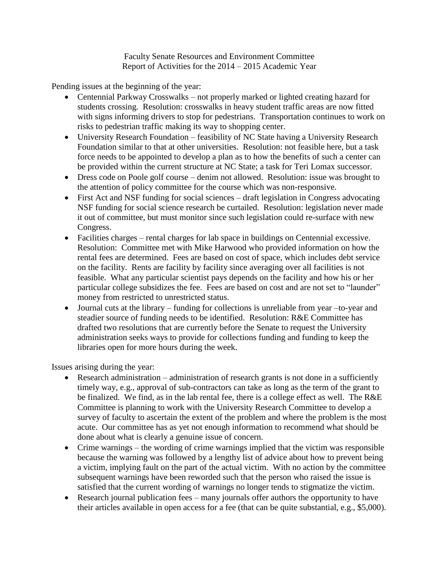Faculty Senate Resources and Environment Committee Report of Activities for the 2014 – 2015 Academic Year

Pending issues at the beginning of the year:

- Centennial Parkway Crosswalks not properly marked or lighted creating hazard for students crossing. Resolution: crosswalks in heavy student traffic areas are now fitted with signs informing drivers to stop for pedestrians. Transportation continues to work on risks to pedestrian traffic making its way to shopping center.
- University Research Foundation feasibility of NC State having a University Research Foundation similar to that at other universities. Resolution: not feasible here, but a task force needs to be appointed to develop a plan as to how the benefits of such a center can be provided within the current structure at NC State; a task for Teri Lomax successor.
- Dress code on Poole golf course denim not allowed. Resolution: issue was brought to the attention of policy committee for the course which was non-responsive.
- First Act and NSF funding for social sciences draft legislation in Congress advocating NSF funding for social science research be curtailed. Resolution: legislation never made it out of committee, but must monitor since such legislation could re-surface with new Congress.
- Facilities charges rental charges for lab space in buildings on Centennial excessive. Resolution: Committee met with Mike Harwood who provided information on how the rental fees are determined. Fees are based on cost of space, which includes debt service on the facility. Rents are facility by facility since averaging over all facilities is not feasible. What any particular scientist pays depends on the facility and how his or her particular college subsidizes the fee. Fees are based on cost and are not set to "launder" money from restricted to unrestricted status.
- Journal cuts at the library funding for collections is unreliable from year –to-year and steadier source of funding needs to be identified. Resolution: R&E Committee has drafted two resolutions that are currently before the Senate to request the University administration seeks ways to provide for collections funding and funding to keep the libraries open for more hours during the week.

Issues arising during the year:

- Research administration administration of research grants is not done in a sufficiently timely way, e.g., approval of sub-contractors can take as long as the term of the grant to be finalized. We find, as in the lab rental fee, there is a college effect as well. The R&E Committee is planning to work with the University Research Committee to develop a survey of faculty to ascertain the extent of the problem and where the problem is the most acute. Our committee has as yet not enough information to recommend what should be done about what is clearly a genuine issue of concern.
- Crime warnings the wording of crime warnings implied that the victim was responsible because the warning was followed by a lengthy list of advice about how to prevent being a victim, implying fault on the part of the actual victim. With no action by the committee subsequent warnings have been reworded such that the person who raised the issue is satisfied that the current wording of warnings no longer tends to stigmatize the victim.
- Research journal publication fees many journals offer authors the opportunity to have their articles available in open access for a fee (that can be quite substantial, e.g., \$5,000).